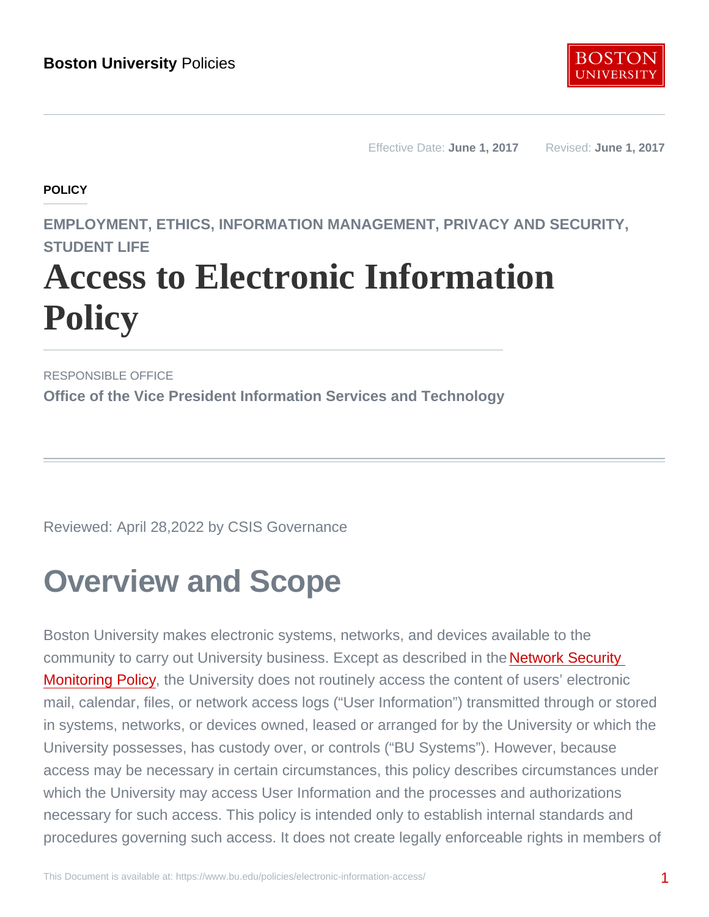Effective Date: June 1, 2017 Revised: June 1, 2017

**POLICY** 

EMPLOYMENT, ETHICS, INFORMATION MANAGEMENT, PRIVACY AND SECURITY, STUDENT LIFF

# Access to Electronic Information **Policy**

RESPONSIBLE OFFICE Office of the Vice President Information Services and Technology

Reviewed: April 28,2022 by CSIS Governance

### Overview and Scope

Boston University makes electronic systems, networks, and devices available to the community to carry out University business. Except as described in the **Network Security** [Monitoring Policy,](http://www.bu.edu/policies/information-management/network-security-monitoring/) the University does not routinely access the content of users' electronic mail, calendar, files, or network access logs ("User Information") transmitted through or stored in systems, networks, or devices owned, leased or arranged for by the University or which the University possesses, has custody over, or controls ("BU Systems"). However, because access may be necessary in certain circumstances, this policy describes circumstances under which the University may access User Information and the processes and authorizations necessary for such access. This policy is intended only to establish internal standards and procedures governing such access. It does not create legally enforceable rights in members of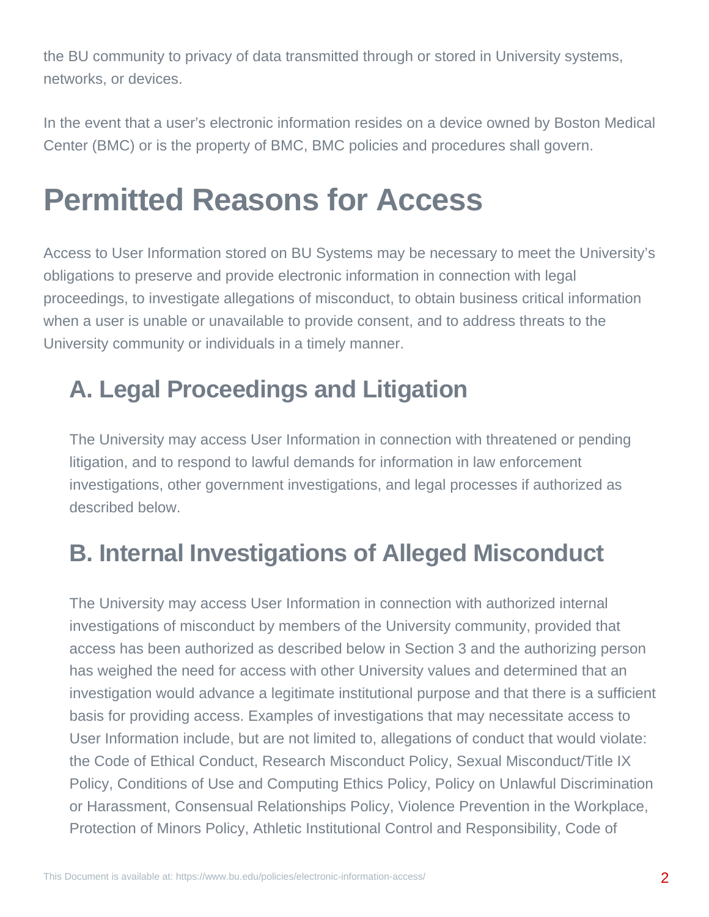the BU community to privacy of data transmitted through or stored in University systems, networks, or devices.

In the event that a user's electronic information resides on a device owned by Boston Medical Center (BMC) or is the property of BMC, BMC policies and procedures shall govern.

### **Permitted Reasons for Access**

Access to User Information stored on BU Systems may be necessary to meet the University's obligations to preserve and provide electronic information in connection with legal proceedings, to investigate allegations of misconduct, to obtain business critical information when a user is unable or unavailable to provide consent, and to address threats to the University community or individuals in a timely manner.

#### **A. Legal Proceedings and Litigation**

The University may access User Information in connection with threatened or pending litigation, and to respond to lawful demands for information in law enforcement investigations, other government investigations, and legal processes if authorized as described below.

#### **B. Internal Investigations of Alleged Misconduct**

The University may access User Information in connection with authorized internal investigations of misconduct by members of the University community, provided that access has been authorized as described below in Section 3 and the authorizing person has weighed the need for access with other University values and determined that an investigation would advance a legitimate institutional purpose and that there is a sufficient basis for providing access. Examples of investigations that may necessitate access to User Information include, but are not limited to, allegations of conduct that would violate: the Code of Ethical Conduct, Research Misconduct Policy, Sexual Misconduct/Title IX Policy, Conditions of Use and Computing Ethics Policy, Policy on Unlawful Discrimination or Harassment, Consensual Relationships Policy, Violence Prevention in the Workplace, Protection of Minors Policy, Athletic Institutional Control and Responsibility, Code of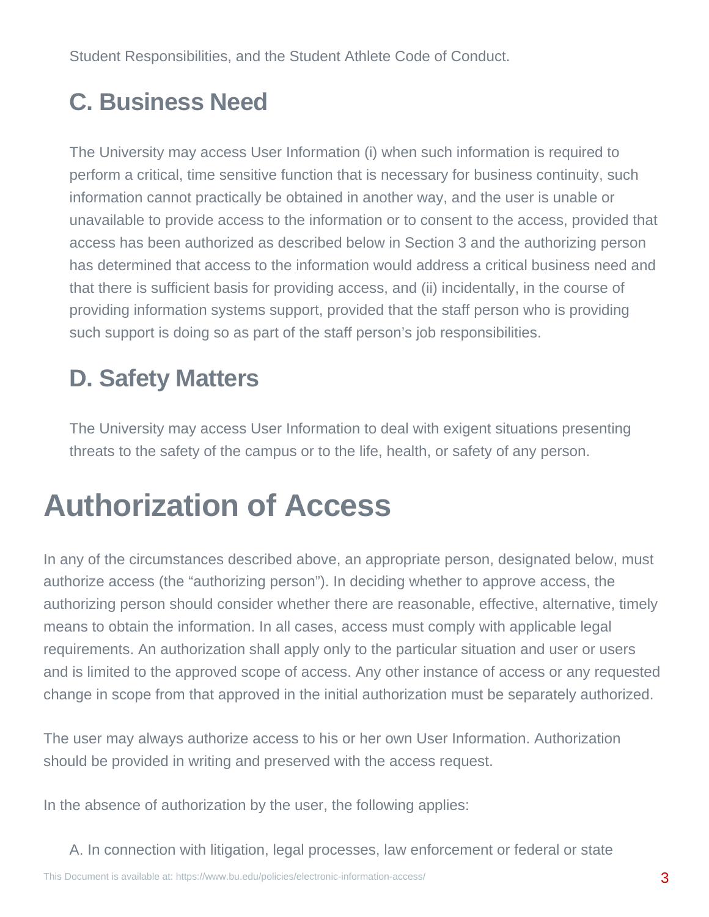Student Responsibilities, and the Student Athlete Code of Conduct.

#### **C. Business Need**

The University may access User Information (i) when such information is required to perform a critical, time sensitive function that is necessary for business continuity, such information cannot practically be obtained in another way, and the user is unable or unavailable to provide access to the information or to consent to the access, provided that access has been authorized as described below in Section 3 and the authorizing person has determined that access to the information would address a critical business need and that there is sufficient basis for providing access, and (ii) incidentally, in the course of providing information systems support, provided that the staff person who is providing such support is doing so as part of the staff person's job responsibilities.

#### **D. Safety Matters**

The University may access User Information to deal with exigent situations presenting threats to the safety of the campus or to the life, health, or safety of any person.

### **Authorization of Access**

In any of the circumstances described above, an appropriate person, designated below, must authorize access (the "authorizing person"). In deciding whether to approve access, the authorizing person should consider whether there are reasonable, effective, alternative, timely means to obtain the information. In all cases, access must comply with applicable legal requirements. An authorization shall apply only to the particular situation and user or users and is limited to the approved scope of access. Any other instance of access or any requested change in scope from that approved in the initial authorization must be separately authorized.

The user may always authorize access to his or her own User Information. Authorization should be provided in writing and preserved with the access request.

In the absence of authorization by the user, the following applies:

A. In connection with litigation, legal processes, law enforcement or federal or state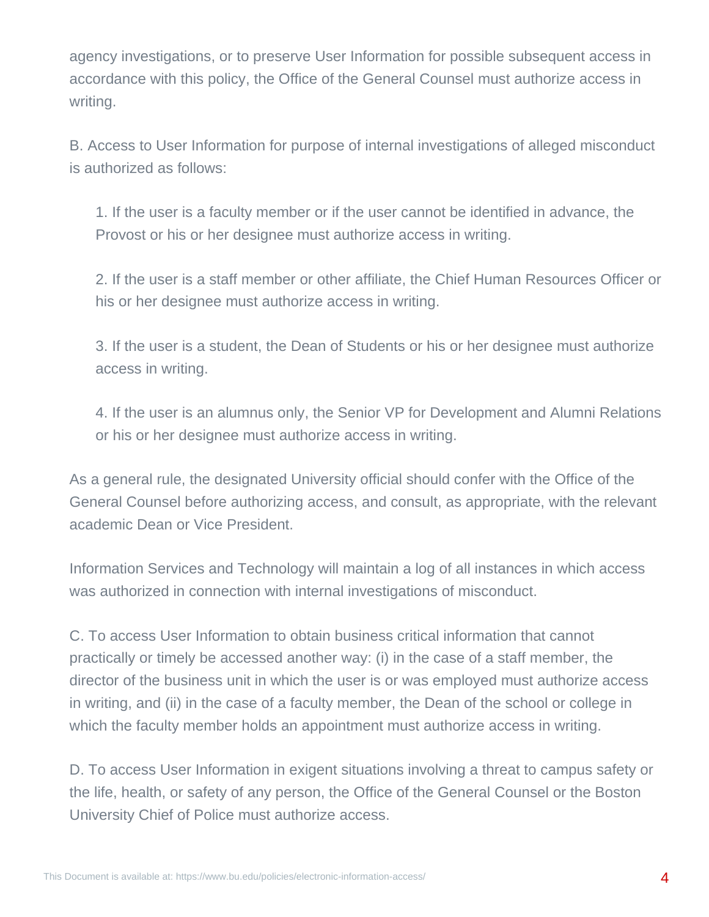agency investigations, or to preserve User Information for possible subsequent access in accordance with this policy, the Office of the General Counsel must authorize access in writing.

B. Access to User Information for purpose of internal investigations of alleged misconduct is authorized as follows:

1. If the user is a faculty member or if the user cannot be identified in advance, the Provost or his or her designee must authorize access in writing.

2. If the user is a staff member or other affiliate, the Chief Human Resources Officer or his or her designee must authorize access in writing.

3. If the user is a student, the Dean of Students or his or her designee must authorize access in writing.

4. If the user is an alumnus only, the Senior VP for Development and Alumni Relations or his or her designee must authorize access in writing.

As a general rule, the designated University official should confer with the Office of the General Counsel before authorizing access, and consult, as appropriate, with the relevant academic Dean or Vice President.

Information Services and Technology will maintain a log of all instances in which access was authorized in connection with internal investigations of misconduct.

C. To access User Information to obtain business critical information that cannot practically or timely be accessed another way: (i) in the case of a staff member, the director of the business unit in which the user is or was employed must authorize access in writing, and (ii) in the case of a faculty member, the Dean of the school or college in which the faculty member holds an appointment must authorize access in writing.

D. To access User Information in exigent situations involving a threat to campus safety or the life, health, or safety of any person, the Office of the General Counsel or the Boston University Chief of Police must authorize access.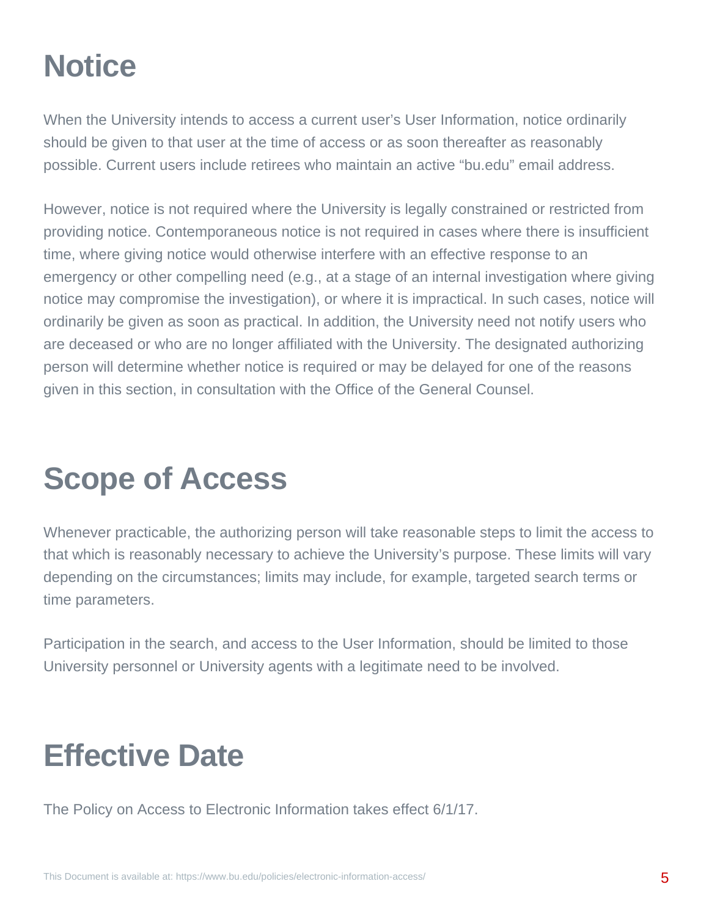### **Notice**

When the University intends to access a current user's User Information, notice ordinarily should be given to that user at the time of access or as soon thereafter as reasonably possible. Current users include retirees who maintain an active "bu.edu" email address.

However, notice is not required where the University is legally constrained or restricted from providing notice. Contemporaneous notice is not required in cases where there is insufficient time, where giving notice would otherwise interfere with an effective response to an emergency or other compelling need (e.g., at a stage of an internal investigation where giving notice may compromise the investigation), or where it is impractical. In such cases, notice will ordinarily be given as soon as practical. In addition, the University need not notify users who are deceased or who are no longer affiliated with the University. The designated authorizing person will determine whether notice is required or may be delayed for one of the reasons given in this section, in consultation with the Office of the General Counsel.

### **Scope of Access**

Whenever practicable, the authorizing person will take reasonable steps to limit the access to that which is reasonably necessary to achieve the University's purpose. These limits will vary depending on the circumstances; limits may include, for example, targeted search terms or time parameters.

Participation in the search, and access to the User Information, should be limited to those University personnel or University agents with a legitimate need to be involved.

### **Effective Date**

The Policy on Access to Electronic Information takes effect 6/1/17.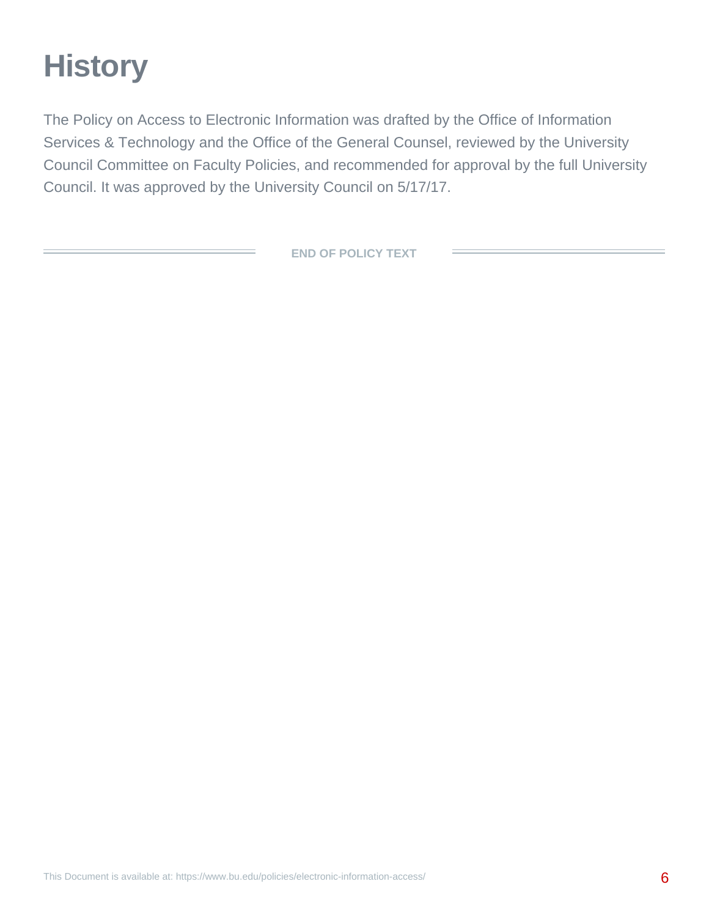## **History**

The Policy on Access to Electronic Information was drafted by the Office of Information Services & Technology and the Office of the General Counsel, reviewed by the University Council Committee on Faculty Policies, and recommended for approval by the full University Council. It was approved by the University Council on 5/17/17.

**END OF POLICY TEXT**

 $\sim$